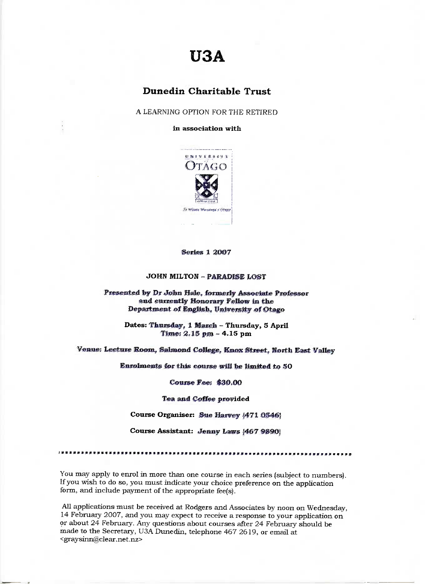# **USA**

## Dunedin **Charitable Trust**

A LEARNING OPTION FOR THE RETIRED

**in association with**



**Series 1 2007** 

#### **JOHN MILTON - PARADISE LOST**

Presented by Dr John Hale, formerly Associate Professor **and currently Honorary Fellow in the Department of** English, **University of Otago**

**Dates: Thursday, 1 March - Thursday, 5 April Time: 2.15 pm - 4.15 pm** 

**Venue; Lecture** Room, Salmoud **College, Kuox Street, North East Valley**

**Enrolments** for **this course will be limited to SO**

**Course Fee; \$30,00**

**Tea and Coffee provided** 

**Course Organiser: Sue Harvey J471 0346J**

**Course Assistant: Jenny** Laws *{467* **989OJ**

You may apply to enrol in more than one course in each series (subject to numbers). If you wish to do so, you must indicate your choice preference on the application form, and include payment of the appropriate fee(s).

All applications must be received at Rodgers and Associates by noon on Wednesday, 14 February 2007, and you may expect to receive a response to your application on or about 24 February. Any questions about courses after 24 February should be made to the Secretary, U3A Dunedin, telephone 467 2619, or email at <graysinn@clear.net.nz>